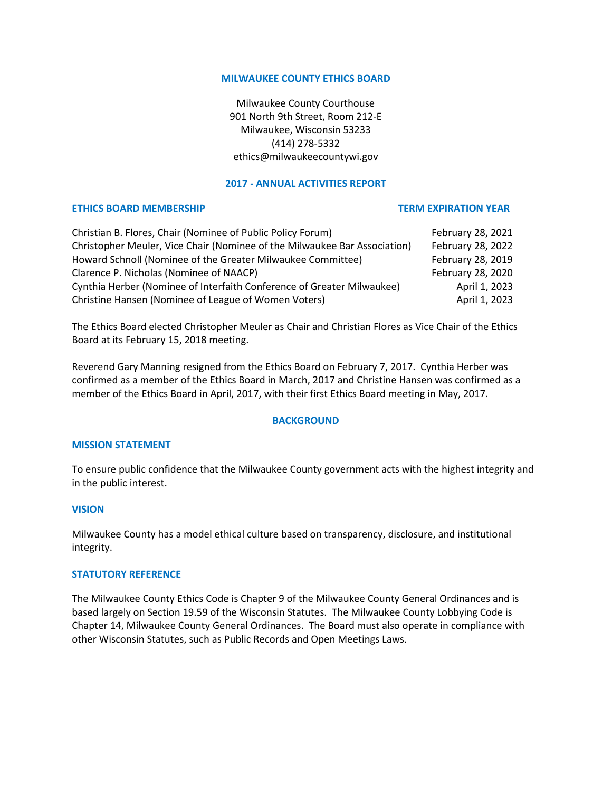### **MILWAUKEE COUNTY ETHICS BOARD**

Milwaukee County Courthouse 901 North 9th Street, Room 212-E Milwaukee, Wisconsin 53233 (414) 278-5332 ethics@milwaukeecountywi.gov

# **2017 - ANNUAL ACTIVITIES REPORT**

## **ETHICS BOARD MEMBERSHIP TERM EXPIRATION YEAR**

| Christian B. Flores, Chair (Nominee of Public Policy Forum)               | February 28, 2021 |
|---------------------------------------------------------------------------|-------------------|
| Christopher Meuler, Vice Chair (Nominee of the Milwaukee Bar Association) | February 28, 2022 |
| Howard Schnoll (Nominee of the Greater Milwaukee Committee)               | February 28, 2019 |
| Clarence P. Nicholas (Nominee of NAACP)                                   | February 28, 2020 |
| Cynthia Herber (Nominee of Interfaith Conference of Greater Milwaukee)    | April 1, 2023     |
| Christine Hansen (Nominee of League of Women Voters)                      | April 1, 2023     |

The Ethics Board elected Christopher Meuler as Chair and Christian Flores as Vice Chair of the Ethics Board at its February 15, 2018 meeting.

Reverend Gary Manning resigned from the Ethics Board on February 7, 2017. Cynthia Herber was confirmed as a member of the Ethics Board in March, 2017 and Christine Hansen was confirmed as a member of the Ethics Board in April, 2017, with their first Ethics Board meeting in May, 2017.

### **BACKGROUND**

## **MISSION STATEMENT**

To ensure public confidence that the Milwaukee County government acts with the highest integrity and in the public interest.

### **VISION**

Milwaukee County has a model ethical culture based on transparency, disclosure, and institutional integrity.

### **STATUTORY REFERENCE**

The Milwaukee County Ethics Code is Chapter 9 of the Milwaukee County General Ordinances and is based largely on Section 19.59 of the Wisconsin Statutes. The Milwaukee County Lobbying Code is Chapter 14, Milwaukee County General Ordinances. The Board must also operate in compliance with other Wisconsin Statutes, such as Public Records and Open Meetings Laws.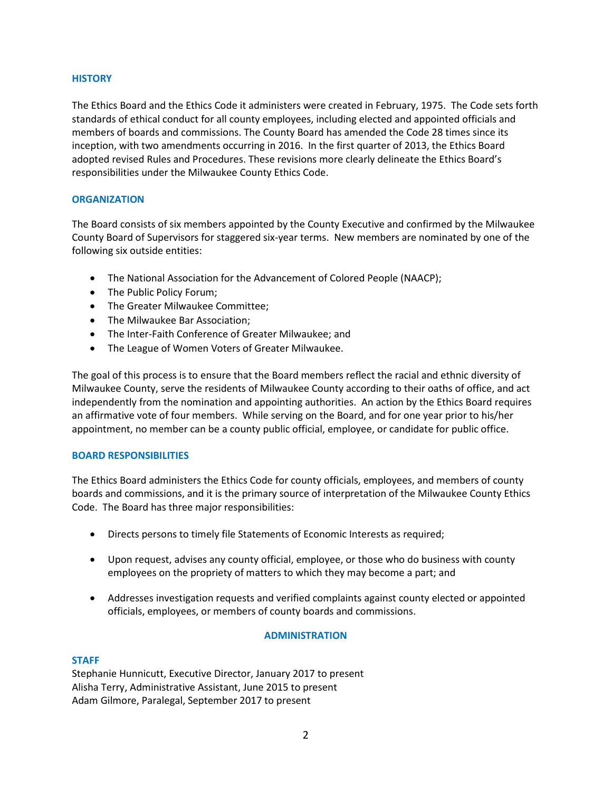## **HISTORY**

The Ethics Board and the Ethics Code it administers were created in February, 1975. The Code sets forth standards of ethical conduct for all county employees, including elected and appointed officials and members of boards and commissions. The County Board has amended the Code 28 times since its inception, with two amendments occurring in 2016. In the first quarter of 2013, the Ethics Board adopted revised Rules and Procedures. These revisions more clearly delineate the Ethics Board's responsibilities under the Milwaukee County Ethics Code.

## **ORGANIZATION**

The Board consists of six members appointed by the County Executive and confirmed by the Milwaukee County Board of Supervisors for staggered six-year terms. New members are nominated by one of the following six outside entities:

- The National Association for the Advancement of Colored People (NAACP);
- The Public Policy Forum;
- The Greater Milwaukee Committee;
- The Milwaukee Bar Association;
- The Inter-Faith Conference of Greater Milwaukee; and
- The League of Women Voters of Greater Milwaukee.

The goal of this process is to ensure that the Board members reflect the racial and ethnic diversity of Milwaukee County, serve the residents of Milwaukee County according to their oaths of office, and act independently from the nomination and appointing authorities. An action by the Ethics Board requires an affirmative vote of four members. While serving on the Board, and for one year prior to his/her appointment, no member can be a county public official, employee, or candidate for public office.

### **BOARD RESPONSIBILITIES**

The Ethics Board administers the Ethics Code for county officials, employees, and members of county boards and commissions, and it is the primary source of interpretation of the Milwaukee County Ethics Code. The Board has three major responsibilities:

- Directs persons to timely file Statements of Economic Interests as required;
- Upon request, advises any county official, employee, or those who do business with county employees on the propriety of matters to which they may become a part; and
- Addresses investigation requests and verified complaints against county elected or appointed officials, employees, or members of county boards and commissions.

# **ADMINISTRATION**

### **STAFF**

Stephanie Hunnicutt, Executive Director, January 2017 to present Alisha Terry, Administrative Assistant, June 2015 to present Adam Gilmore, Paralegal, September 2017 to present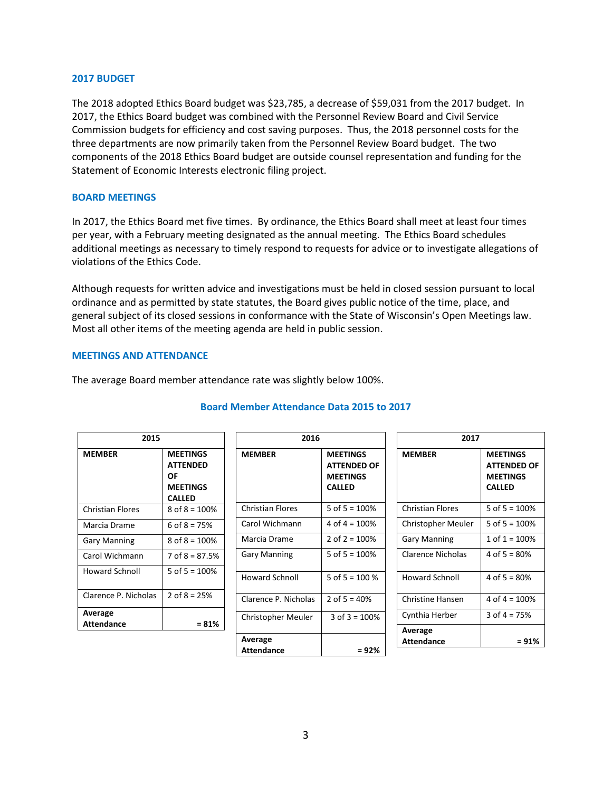#### **2017 BUDGET**

The 2018 adopted Ethics Board budget was \$23,785, a decrease of \$59,031 from the 2017 budget. In 2017, the Ethics Board budget was combined with the Personnel Review Board and Civil Service Commission budgets for efficiency and cost saving purposes. Thus, the 2018 personnel costs for the three departments are now primarily taken from the Personnel Review Board budget. The two components of the 2018 Ethics Board budget are outside counsel representation and funding for the Statement of Economic Interests electronic filing project.

### **BOARD MEETINGS**

In 2017, the Ethics Board met five times. By ordinance, the Ethics Board shall meet at least four times per year, with a February meeting designated as the annual meeting. The Ethics Board schedules additional meetings as necessary to timely respond to requests for advice or to investigate allegations of violations of the Ethics Code.

Although requests for written advice and investigations must be held in closed session pursuant to local ordinance and as permitted by state statutes, the Board gives public notice of the time, place, and general subject of its closed sessions in conformance with the State of Wisconsin's Open Meetings law. Most all other items of the meeting agenda are held in public session.

#### **MEETINGS AND ATTENDANCE**

The average Board member attendance rate was slightly below 100%.

| 2015                         |                                                                              | 2016                         |                                                                           | 2017                      |                                                                           |
|------------------------------|------------------------------------------------------------------------------|------------------------------|---------------------------------------------------------------------------|---------------------------|---------------------------------------------------------------------------|
| <b>MEMBER</b>                | <b>MEETINGS</b><br><b>ATTENDED</b><br>ΟF<br><b>MEETINGS</b><br><b>CALLED</b> | <b>MEMBER</b>                | <b>MEETINGS</b><br><b>ATTENDED OF</b><br><b>MEETINGS</b><br><b>CALLED</b> | <b>MEMBER</b>             | <b>MEETINGS</b><br><b>ATTENDED OF</b><br><b>MEETINGS</b><br><b>CALLED</b> |
| <b>Christian Flores</b>      | $8$ of $8 = 100\%$                                                           | <b>Christian Flores</b>      | 5 of $5 = 100%$                                                           | <b>Christian Flores</b>   | 5 of $5 = 100%$                                                           |
| Marcia Drame                 | 6 of $8 = 75%$                                                               | Carol Wichmann               | 4 of $4 = 100\%$                                                          | <b>Christopher Meuler</b> | 5 of $5 = 100%$                                                           |
| <b>Gary Manning</b>          | $8$ of $8 = 100\%$                                                           | Marcia Drame                 | 2 of $2 = 100\%$                                                          | <b>Gary Manning</b>       | $1$ of $1 = 100%$                                                         |
| Carol Wichmann               | $7$ of $8 = 87.5%$                                                           | <b>Gary Manning</b>          | 5 of $5 = 100\%$                                                          | Clarence Nicholas         | 4 of $5 = 80%$                                                            |
| <b>Howard Schnoll</b>        | 5 of $5 = 100\%$                                                             | <b>Howard Schnoll</b>        | 5 of $5 = 100 %$                                                          | <b>Howard Schnoll</b>     | 4 of $5 = 80%$                                                            |
| Clarence P. Nicholas         | 2 of $8 = 25%$                                                               | Clarence P. Nicholas         | 2 of $5 = 40%$                                                            | <b>Christine Hansen</b>   | 4 of $4 = 100%$                                                           |
| Average<br><b>Attendance</b> | $= 81%$                                                                      | <b>Christopher Meuler</b>    | 3 of $3 = 100%$                                                           | Cynthia Herber<br>Average | $3$ of $4 = 75%$                                                          |
|                              |                                                                              | Average<br><b>Attendance</b> | $= 92%$                                                                   | Attendance                | $= 91%$                                                                   |

## **Board Member Attendance Data 2015 to 2017**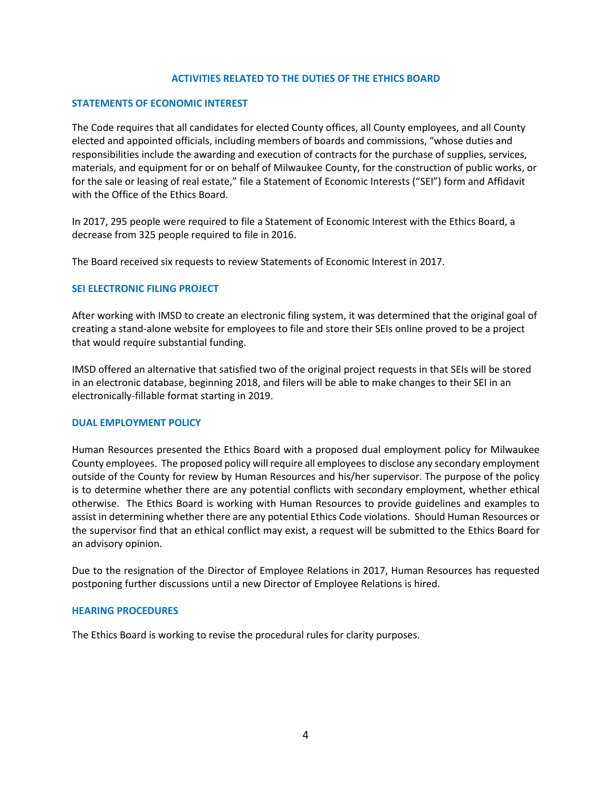## **ACTIVITIES RELATED TO THE DUTIES OF THE ETHICS BOARD**

## **STATEMENTS OF ECONOMIC INTEREST**

The Code requires that all candidates for elected County offices, all County employees, and all County elected and appointed officials, including members of boards and commissions, "whose duties and responsibilities include the awarding and execution of contracts for the purchase of supplies, services, materials, and equipment for or on behalf of Milwaukee County, for the construction of public works, or for the sale or leasing of real estate," file a Statement of Economic Interests ("SEI") form and Affidavit with the Office of the Ethics Board.

In 2017, 295 people were required to file a Statement of Economic Interest with the Ethics Board, a decrease from 325 people required to file in 2016.

The Board received six requests to review Statements of Economic Interest in 2017.

## **SEI ELECTRONIC FILING PROJECT**

After working with IMSD to create an electronic filing system, it was determined that the original goal of creating a stand-alone website for employees to file and store their SEIs online proved to be a project that would require substantial funding.

IMSD offered an alternative that satisfied two of the original project requests in that SEIs will be stored in an electronic database, beginning 2018, and filers will be able to make changes to their SEI in an electronically-fillable format starting in 2019.

## **DUAL EMPLOYMENT POLICY**

Human Resources presented the Ethics Board with a proposed dual employment policy for Milwaukee County employees. The proposed policy will require all employees to disclose any secondary employment outside of the County for review by Human Resources and his/her supervisor. The purpose of the policy is to determine whether there are any potential conflicts with secondary employment, whether ethical otherwise. The Ethics Board is working with Human Resources to provide guidelines and examples to assist in determining whether there are any potential Ethics Code violations. Should Human Resources or the supervisor find that an ethical conflict may exist, a request will be submitted to the Ethics Board for an advisory opinion.

Due to the resignation of the Director of Employee Relations in 2017, Human Resources has requested postponing further discussions until a new Director of Employee Relations is hired.

### **HEARING PROCEDURES**

The Ethics Board is working to revise the procedural rules for clarity purposes.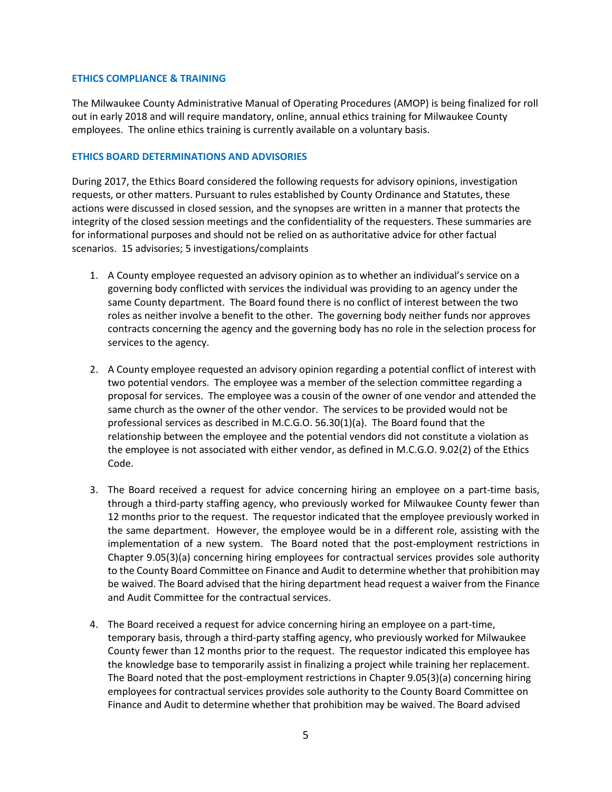### **ETHICS COMPLIANCE & TRAINING**

The Milwaukee County Administrative Manual of Operating Procedures (AMOP) is being finalized for roll out in early 2018 and will require mandatory, online, annual ethics training for Milwaukee County employees. The online ethics training is currently available on a voluntary basis.

## **ETHICS BOARD DETERMINATIONS AND ADVISORIES**

During 2017, the Ethics Board considered the following requests for advisory opinions, investigation requests, or other matters. Pursuant to rules established by County Ordinance and Statutes, these actions were discussed in closed session, and the synopses are written in a manner that protects the integrity of the closed session meetings and the confidentiality of the requesters. These summaries are for informational purposes and should not be relied on as authoritative advice for other factual scenarios. 15 advisories; 5 investigations/complaints

- 1. A County employee requested an advisory opinion as to whether an individual's service on a governing body conflicted with services the individual was providing to an agency under the same County department. The Board found there is no conflict of interest between the two roles as neither involve a benefit to the other. The governing body neither funds nor approves contracts concerning the agency and the governing body has no role in the selection process for services to the agency.
- 2. A County employee requested an advisory opinion regarding a potential conflict of interest with two potential vendors. The employee was a member of the selection committee regarding a proposal for services. The employee was a cousin of the owner of one vendor and attended the same church as the owner of the other vendor. The services to be provided would not be professional services as described in M.C.G.O. 56.30(1)(a). The Board found that the relationship between the employee and the potential vendors did not constitute a violation as the employee is not associated with either vendor, as defined in M.C.G.O. 9.02(2) of the Ethics Code.
- 3. The Board received a request for advice concerning hiring an employee on a part-time basis, through a third-party staffing agency, who previously worked for Milwaukee County fewer than 12 months prior to the request. The requestor indicated that the employee previously worked in the same department. However, the employee would be in a different role, assisting with the implementation of a new system. The Board noted that the post-employment restrictions in Chapter 9.05(3)(a) concerning hiring employees for contractual services provides sole authority to the County Board Committee on Finance and Audit to determine whether that prohibition may be waived. The Board advised that the hiring department head request a waiver from the Finance and Audit Committee for the contractual services.
- 4. The Board received a request for advice concerning hiring an employee on a part-time, temporary basis, through a third-party staffing agency, who previously worked for Milwaukee County fewer than 12 months prior to the request. The requestor indicated this employee has the knowledge base to temporarily assist in finalizing a project while training her replacement. The Board noted that the post-employment restrictions in Chapter 9.05(3)(a) concerning hiring employees for contractual services provides sole authority to the County Board Committee on Finance and Audit to determine whether that prohibition may be waived. The Board advised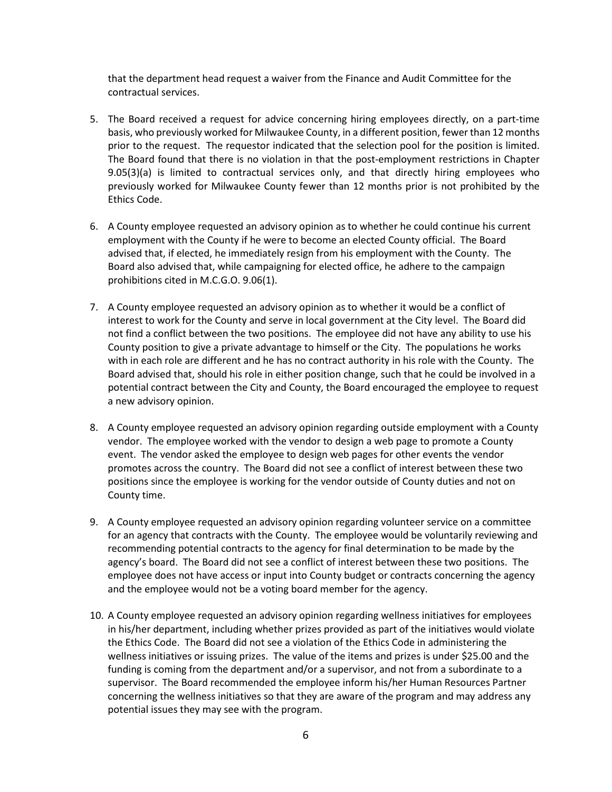that the department head request a waiver from the Finance and Audit Committee for the contractual services.

- 5. The Board received a request for advice concerning hiring employees directly, on a part-time basis, who previously worked for Milwaukee County, in a different position, fewer than 12 months prior to the request. The requestor indicated that the selection pool for the position is limited. The Board found that there is no violation in that the post-employment restrictions in Chapter 9.05(3)(a) is limited to contractual services only, and that directly hiring employees who previously worked for Milwaukee County fewer than 12 months prior is not prohibited by the Ethics Code.
- 6. A County employee requested an advisory opinion as to whether he could continue his current employment with the County if he were to become an elected County official. The Board advised that, if elected, he immediately resign from his employment with the County. The Board also advised that, while campaigning for elected office, he adhere to the campaign prohibitions cited in M.C.G.O. 9.06(1).
- 7. A County employee requested an advisory opinion as to whether it would be a conflict of interest to work for the County and serve in local government at the City level. The Board did not find a conflict between the two positions. The employee did not have any ability to use his County position to give a private advantage to himself or the City. The populations he works with in each role are different and he has no contract authority in his role with the County. The Board advised that, should his role in either position change, such that he could be involved in a potential contract between the City and County, the Board encouraged the employee to request a new advisory opinion.
- 8. A County employee requested an advisory opinion regarding outside employment with a County vendor. The employee worked with the vendor to design a web page to promote a County event. The vendor asked the employee to design web pages for other events the vendor promotes across the country. The Board did not see a conflict of interest between these two positions since the employee is working for the vendor outside of County duties and not on County time.
- 9. A County employee requested an advisory opinion regarding volunteer service on a committee for an agency that contracts with the County. The employee would be voluntarily reviewing and recommending potential contracts to the agency for final determination to be made by the agency's board. The Board did not see a conflict of interest between these two positions. The employee does not have access or input into County budget or contracts concerning the agency and the employee would not be a voting board member for the agency.
- 10. A County employee requested an advisory opinion regarding wellness initiatives for employees in his/her department, including whether prizes provided as part of the initiatives would violate the Ethics Code. The Board did not see a violation of the Ethics Code in administering the wellness initiatives or issuing prizes. The value of the items and prizes is under \$25.00 and the funding is coming from the department and/or a supervisor, and not from a subordinate to a supervisor. The Board recommended the employee inform his/her Human Resources Partner concerning the wellness initiatives so that they are aware of the program and may address any potential issues they may see with the program.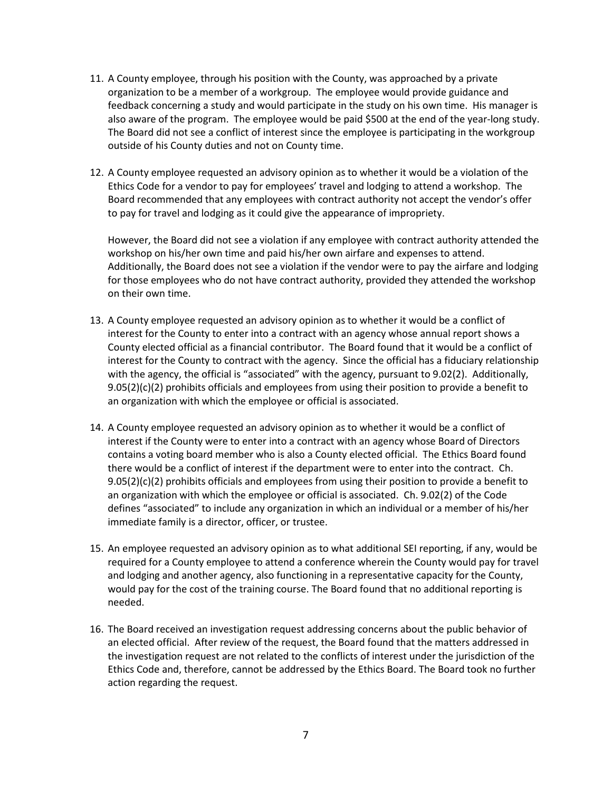- 11. A County employee, through his position with the County, was approached by a private organization to be a member of a workgroup. The employee would provide guidance and feedback concerning a study and would participate in the study on his own time. His manager is also aware of the program. The employee would be paid \$500 at the end of the year-long study. The Board did not see a conflict of interest since the employee is participating in the workgroup outside of his County duties and not on County time.
- 12. A County employee requested an advisory opinion as to whether it would be a violation of the Ethics Code for a vendor to pay for employees' travel and lodging to attend a workshop. The Board recommended that any employees with contract authority not accept the vendor's offer to pay for travel and lodging as it could give the appearance of impropriety.

However, the Board did not see a violation if any employee with contract authority attended the workshop on his/her own time and paid his/her own airfare and expenses to attend. Additionally, the Board does not see a violation if the vendor were to pay the airfare and lodging for those employees who do not have contract authority, provided they attended the workshop on their own time.

- 13. A County employee requested an advisory opinion as to whether it would be a conflict of interest for the County to enter into a contract with an agency whose annual report shows a County elected official as a financial contributor. The Board found that it would be a conflict of interest for the County to contract with the agency. Since the official has a fiduciary relationship with the agency, the official is "associated" with the agency, pursuant to 9.02(2). Additionally,  $9.05(2)(c)(2)$  prohibits officials and employees from using their position to provide a benefit to an organization with which the employee or official is associated.
- 14. A County employee requested an advisory opinion as to whether it would be a conflict of interest if the County were to enter into a contract with an agency whose Board of Directors contains a voting board member who is also a County elected official. The Ethics Board found there would be a conflict of interest if the department were to enter into the contract. Ch.  $9.05(2)(c)(2)$  prohibits officials and employees from using their position to provide a benefit to an organization with which the employee or official is associated. Ch. 9.02(2) of the Code defines "associated" to include any organization in which an individual or a member of his/her immediate family is a director, officer, or trustee.
- 15. An employee requested an advisory opinion as to what additional SEI reporting, if any, would be required for a County employee to attend a conference wherein the County would pay for travel and lodging and another agency, also functioning in a representative capacity for the County, would pay for the cost of the training course. The Board found that no additional reporting is needed.
- 16. The Board received an investigation request addressing concerns about the public behavior of an elected official. After review of the request, the Board found that the matters addressed in the investigation request are not related to the conflicts of interest under the jurisdiction of the Ethics Code and, therefore, cannot be addressed by the Ethics Board. The Board took no further action regarding the request.